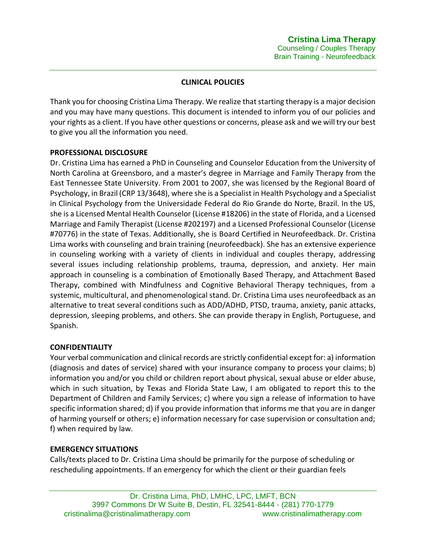# **CLINICAL POLICIES**

Thank you for choosing Cristina Lima Therapy. We realize that starting therapy is a major decision and you may have many questions. This document is intended to inform you of our policies and your rights as a client. If you have other questions or concerns, please ask and we will try our best to give you all the information you need.

## **PROFESSIONAL DISCLOSURE**

Dr. Cristina Lima has earned a PhD in Counseling and Counselor Education from the University of North Carolina at Greensboro, and a master's degree in Marriage and Family Therapy from the East Tennessee State University. From 2001 to 2007, she was licensed by the Regional Board of Psychology, in Brazil (CRP 13/3648), where she is a Specialist in Health Psychology and a Specialist in Clinical Psychology from the Universidade Federal do Rio Grande do Norte, Brazil. In the US, she is a Licensed Mental Health Counselor (License #18206) in the state of Florida, and a Licensed Marriage and Family Therapist (License #202197) and a Licensed Professional Counselor (License #70776) in the state of Texas. Additionally, she is Board Certified in Neurofeedback. Dr. Cristina Lima works with counseling and brain training (neurofeedback). She has an extensive experience in counseling working with a variety of clients in individual and couples therapy, addressing several issues including relationship problems, trauma, depression, and anxiety. Her main approach in counseling is a combination of Emotionally Based Therapy, and Attachment Based Therapy, combined with Mindfulness and Cognitive Behavioral Therapy techniques, from a systemic, multicultural, and phenomenological stand. Dr. Cristina Lima uses neurofeedback as an alternative to treat several conditions such as ADD/ADHD, PTSD, trauma, anxiety, panic attacks, depression, sleeping problems, and others. She can provide therapy in English, Portuguese, and Spanish.

## **CONFIDENTIALITY**

Your verbal communication and clinical records are strictly confidential except for: a) information (diagnosis and dates of service) shared with your insurance company to process your claims; b) information you and/or you child or children report about physical, sexual abuse or elder abuse, which in such situation, by Texas and Florida State Law, I am obligated to report this to the Department of Children and Family Services; c) where you sign a release of information to have specific information shared; d) if you provide information that informs me that you are in danger of harming yourself or others; e) information necessary for case supervision or consultation and; f) when required by law.

#### **EMERGENCY SITUATIONS**

Calls/texts placed to Dr. Cristina Lima should be primarily for the purpose of scheduling or rescheduling appointments. If an emergency for which the client or their guardian feels